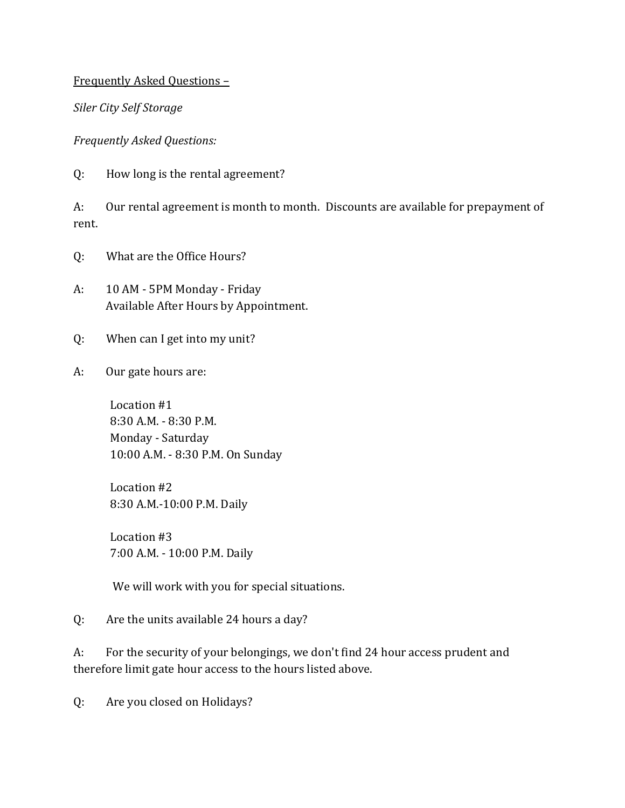Frequently Asked Questions –

*Siler City Self Storage*

*Frequently Asked Questions:*

Q: How long is the rental agreement?

A: Our rental agreement is month to month. Discounts are available for prepayment of rent.

- Q: What are the Office Hours?
- A: 10 AM 5PM Monday Friday Available After Hours by Appointment.
- Q: When can I get into my unit?
- A: Our gate hours are:

 Location #1 8:30 A.M. - 8:30 P.M. Monday - Saturday 10:00 A.M. - 8:30 P.M. On Sunday

 Location #2 8:30 A.M.-10:00 P.M. Daily

 Location #3 7:00 A.M. - 10:00 P.M. Daily

We will work with you for special situations.

Q: Are the units available 24 hours a day?

A: For the security of your belongings, we don't find 24 hour access prudent and therefore limit gate hour access to the hours listed above.

Q: Are you closed on Holidays?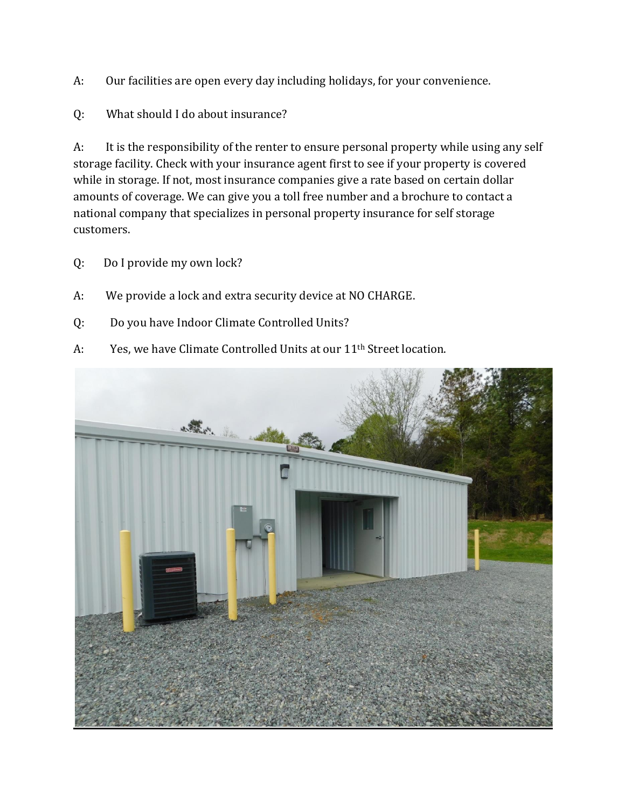- A: Our facilities are open every day including holidays, for your convenience.
- Q: What should I do about insurance?

A: It is the responsibility of the renter to ensure personal property while using any self storage facility. Check with your insurance agent first to see if your property is covered while in storage. If not, most insurance companies give a rate based on certain dollar amounts of coverage. We can give you a toll free number and a brochure to contact a national company that specializes in personal property insurance for self storage customers.

- Q: Do I provide my own lock?
- A: We provide a lock and extra security device at NO CHARGE.
- Q: Do you have Indoor Climate Controlled Units?
- A: Yes, we have Climate Controlled Units at our 11<sup>th</sup> Street location.